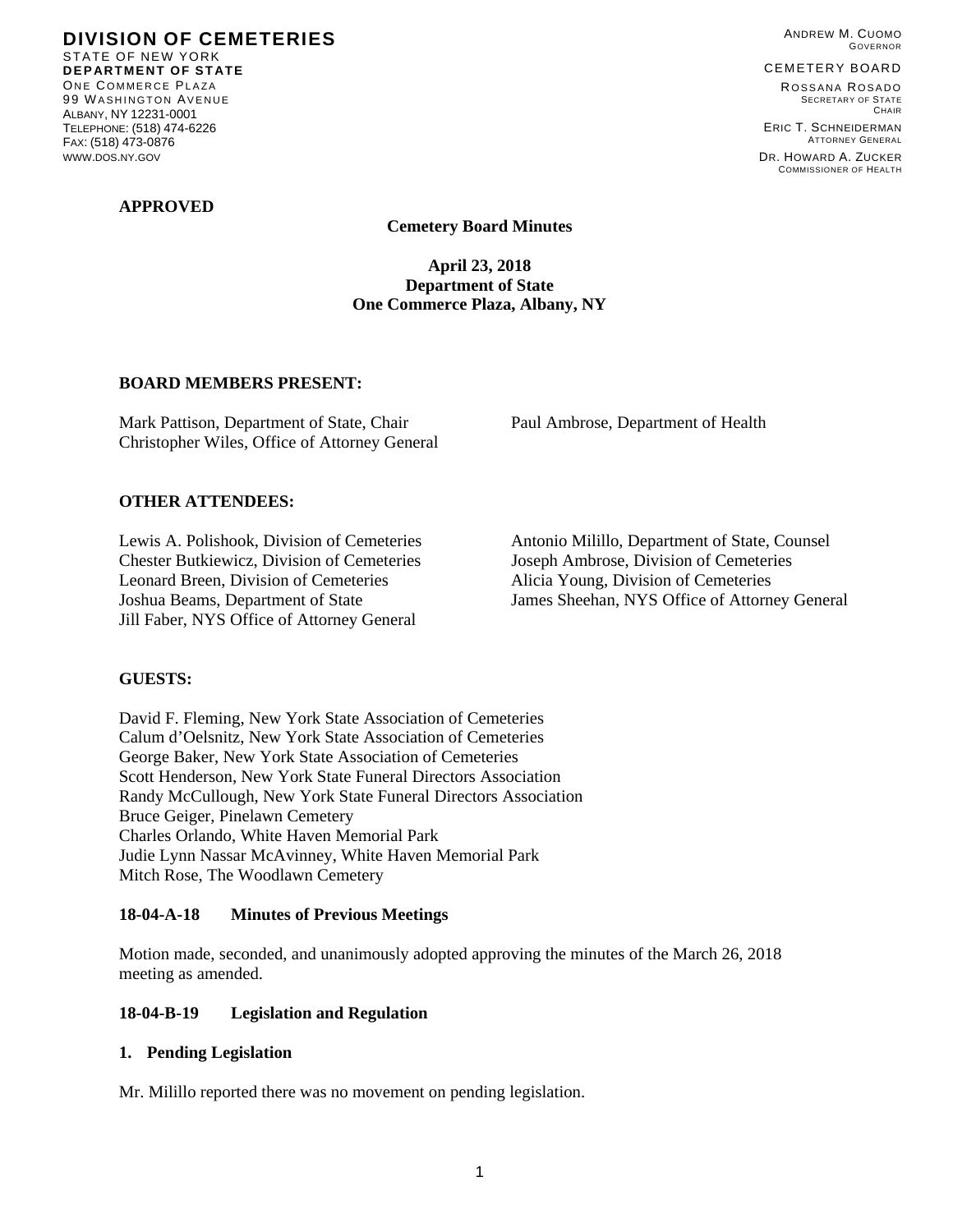**DIVISION OF CEMETERIES**  STATE OF NEW YORK **DEPARTMENT OF STATE**  ONE COMMERCE PLAZA 99 WASHINGTON AVENUE ALBANY, NY 12231-0001 TELEPHONE: (518) 474-6226 FAX: (518) 473-0876 WWW.DOS.NY.GOV

### **APPROVED**

ANDREW M. CUOMO GOVERNOR

#### CEMETERY BOARD

ROSSANA ROSADO SECRETARY OF STATE **CHAIR** ERIC T. SCHNEIDERMAN

ATTORNEY GENERAL DR. HOWARD A. ZUCKER COMMISSIONER OF HEALTH

**Cemetery Board Minutes** 

**April 23, 2018 Department of State One Commerce Plaza, Albany, NY** 

## **BOARD MEMBERS PRESENT:**

Mark Pattison, Department of State, Chair Paul Ambrose, Department of Health Christopher Wiles, Office of Attorney General

### **OTHER ATTENDEES:**

Chester Butkiewicz, Division of Cemeteries Joseph Ambrose, Division of Cemeteries Leonard Breen, Division of Cemeteries Alicia Young, Division of Cemeteries Jill Faber, NYS Office of Attorney General

Lewis A. Polishook, Division of Cemeteries Antonio Milillo, Department of State, Counsel Joshua Beams, Department of State James Sheehan, NYS Office of Attorney General

## **GUESTS:**

David F. Fleming, New York State Association of Cemeteries Calum d'Oelsnitz, New York State Association of Cemeteries George Baker, New York State Association of Cemeteries Scott Henderson, New York State Funeral Directors Association Randy McCullough, New York State Funeral Directors Association Bruce Geiger, Pinelawn Cemetery Charles Orlando, White Haven Memorial Park Judie Lynn Nassar McAvinney, White Haven Memorial Park Mitch Rose, The Woodlawn Cemetery

#### **18-04-A-18 Minutes of Previous Meetings**

Motion made, seconded, and unanimously adopted approving the minutes of the March 26, 2018 meeting as amended.

#### **18-04-B-19 Legislation and Regulation**

### **1. Pending Legislation**

Mr. Milillo reported there was no movement on pending legislation.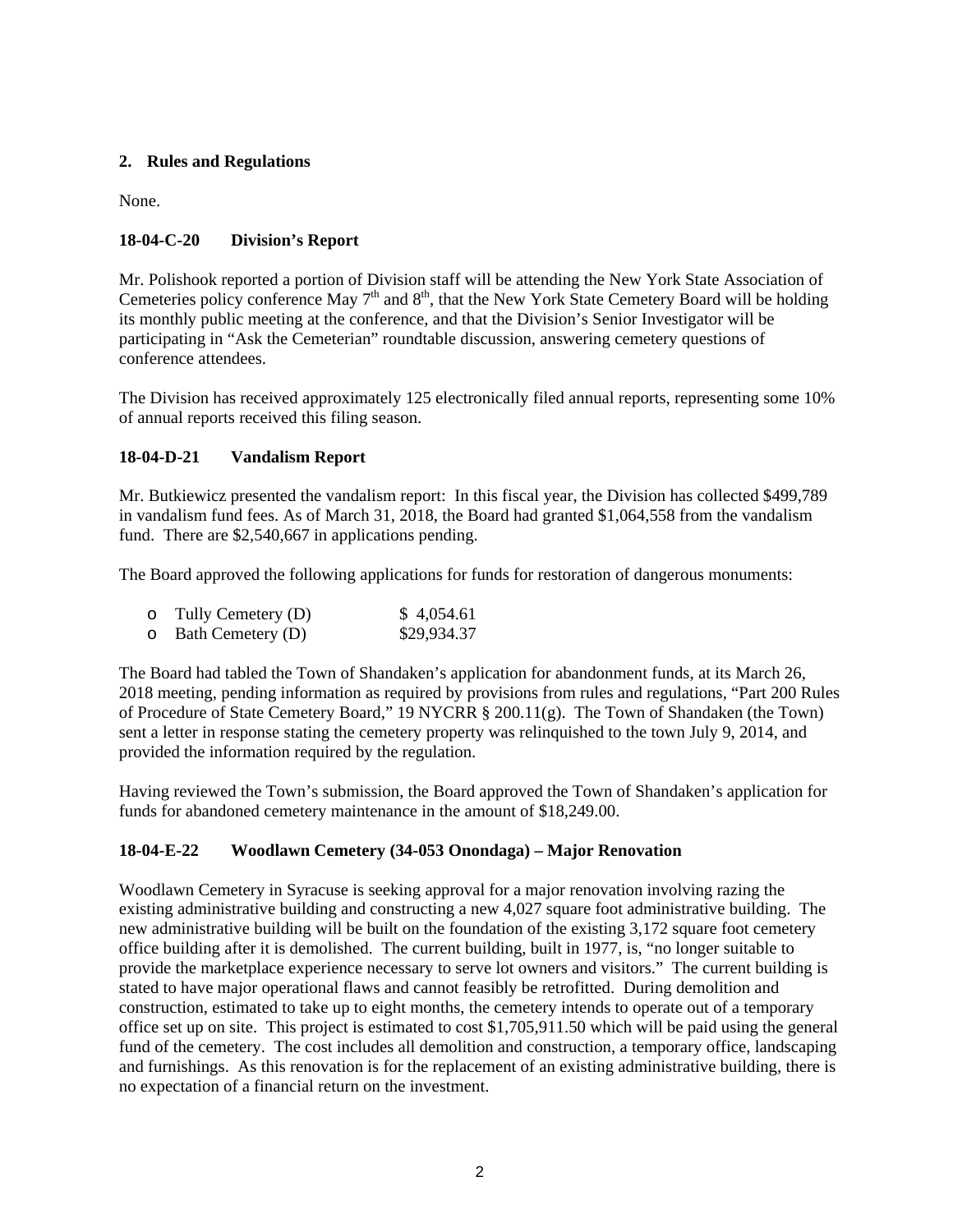# **2. Rules and Regulations**

None.

# **18-04-C-20 Division's Report**

Mr. Polishook reported a portion of Division staff will be attending the New York State Association of Cemeteries policy conference May  $7<sup>th</sup>$  and  $8<sup>th</sup>$ , that the New York State Cemetery Board will be holding its monthly public meeting at the conference, and that the Division's Senior Investigator will be participating in "Ask the Cemeterian" roundtable discussion, answering cemetery questions of conference attendees.

The Division has received approximately 125 electronically filed annual reports, representing some 10% of annual reports received this filing season.

# **18-04-D-21 Vandalism Report**

Mr. Butkiewicz presented the vandalism report: In this fiscal year, the Division has collected \$499,789 in vandalism fund fees. As of March 31, 2018, the Board had granted \$1,064,558 from the vandalism fund. There are \$2,540,667 in applications pending.

The Board approved the following applications for funds for restoration of dangerous monuments:

| $\circ$ Tully Cemetery (D) | \$4,054.61  |
|----------------------------|-------------|
| $\circ$ Bath Cemetery (D)  | \$29,934.37 |

The Board had tabled the Town of Shandaken's application for abandonment funds, at its March 26, 2018 meeting, pending information as required by provisions from rules and regulations, "Part 200 Rules of Procedure of State Cemetery Board," 19 NYCRR § 200.11(g). The Town of Shandaken (the Town) sent a letter in response stating the cemetery property was relinquished to the town July 9, 2014, and provided the information required by the regulation.

Having reviewed the Town's submission, the Board approved the Town of Shandaken's application for funds for abandoned cemetery maintenance in the amount of \$18,249.00.

# **18-04-E-22 Woodlawn Cemetery (34-053 Onondaga) – Major Renovation**

Woodlawn Cemetery in Syracuse is seeking approval for a major renovation involving razing the existing administrative building and constructing a new 4,027 square foot administrative building. The new administrative building will be built on the foundation of the existing 3,172 square foot cemetery office building after it is demolished. The current building, built in 1977, is, "no longer suitable to provide the marketplace experience necessary to serve lot owners and visitors." The current building is stated to have major operational flaws and cannot feasibly be retrofitted. During demolition and construction, estimated to take up to eight months, the cemetery intends to operate out of a temporary office set up on site. This project is estimated to cost \$1,705,911.50 which will be paid using the general fund of the cemetery. The cost includes all demolition and construction, a temporary office, landscaping and furnishings. As this renovation is for the replacement of an existing administrative building, there is no expectation of a financial return on the investment.